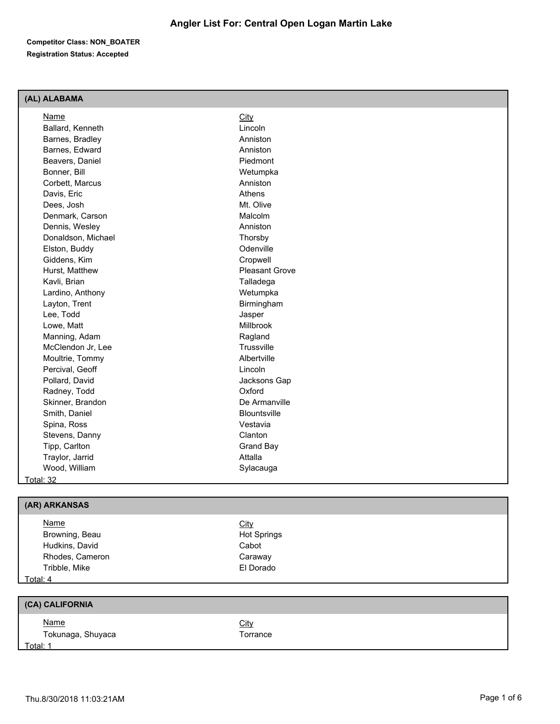### **(AL) ALABAMA**

| Name               | City                  |
|--------------------|-----------------------|
| Ballard, Kenneth   | Lincoln               |
| Barnes, Bradley    | Anniston              |
| Barnes, Edward     | Anniston              |
| Beavers, Daniel    | Piedmont              |
| Bonner, Bill       | Wetumpka              |
| Corbett, Marcus    | Anniston              |
| Davis, Eric        | Athens                |
| Dees, Josh         | Mt. Olive             |
| Denmark, Carson    | Malcolm               |
| Dennis, Wesley     | Anniston              |
| Donaldson, Michael | Thorsby               |
| Elston, Buddy      | Odenville             |
| Giddens, Kim       | Cropwell              |
| Hurst, Matthew     | <b>Pleasant Grove</b> |
| Kavli, Brian       | Talladega             |
| Lardino, Anthony   | Wetumpka              |
| Layton, Trent      | Birmingham            |
| Lee, Todd          | Jasper                |
| Lowe, Matt         | Millbrook             |
| Manning, Adam      | Ragland               |
| McClendon Jr, Lee  | Trussville            |
| Moultrie, Tommy    | Albertville           |
| Percival, Geoff    | Lincoln               |
| Pollard, David     | Jacksons Gap          |
| Radney, Todd       | Oxford                |
| Skinner, Brandon   | De Armanville         |
| Smith, Daniel      | <b>Blountsville</b>   |
| Spina, Ross        | Vestavia              |
| Stevens, Danny     | Clanton               |
| Tipp, Carlton      | <b>Grand Bay</b>      |
| Traylor, Jarrid    | Attalla               |
| Wood, William      | Sylacauga             |
| Total: 32          |                       |
|                    |                       |
| (AR) ARKANSAS      |                       |
| Name               | City                  |
| Browning, Beau     | <b>Hot Springs</b>    |
| Hudkins, David     | Cabot                 |
| Rhodes, Cameron    | Caraway               |

# Total: 4

| (CA) CALIFORNIA   |             |
|-------------------|-------------|
| <u>Name</u>       | <u>City</u> |
| Tokunaga, Shuyaca | Torrance    |
| Total: 1          |             |

Tribble, Mike El Dorado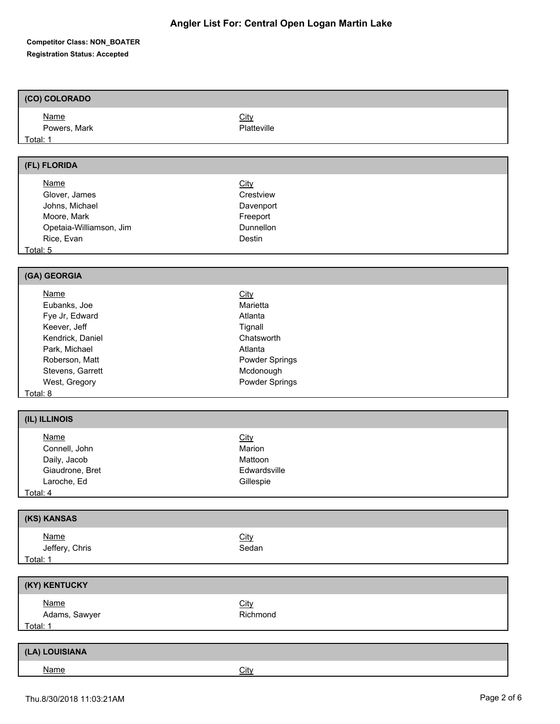# **(CO) COLORADO**

| <u>Name</u>  | <b>City</b> |
|--------------|-------------|
| Powers, Mark | Platteville |
| Total: 1     |             |

#### **(FL) FLORIDA**

| <b>Name</b>             | <b>City</b>      |  |
|-------------------------|------------------|--|
| Glover, James           | Crestview        |  |
| Johns, Michael          | Davenport        |  |
| Moore, Mark             | Freeport         |  |
| Opetaia-Williamson, Jim | <b>Dunnellon</b> |  |
| Rice, Evan              | Destin           |  |
| Total: 5                |                  |  |

**(GA) GEORGIA**

| Name             | <u>City</u>           |
|------------------|-----------------------|
| Eubanks, Joe     | Marietta              |
| Fye Jr, Edward   | Atlanta               |
| Keever, Jeff     | Tignall               |
| Kendrick, Daniel | Chatsworth            |
| Park, Michael    | Atlanta               |
| Roberson, Matt   | <b>Powder Springs</b> |
| Stevens, Garrett | Mcdonough             |
| West, Gregory    | Powder Springs        |
| — <u>— 1</u>     |                       |

Total: 8

| (IL) ILLINOIS   |              |  |
|-----------------|--------------|--|
| <u>Name</u>     | <b>City</b>  |  |
| Connell, John   | Marion       |  |
| Daily, Jacob    | Mattoon      |  |
| Giaudrone, Bret | Edwardsville |  |
| Laroche, Ed     | Gillespie    |  |
| Total: 4        |              |  |

| (KS) KANSAS    |             |
|----------------|-------------|
| <u>Name</u>    | <u>City</u> |
| Jeffery, Chris | Sedan       |
| Total: 1       |             |

| (KY) KENTUCKY                |                         |  |
|------------------------------|-------------------------|--|
| <u>Name</u><br>Adams, Sawyer | <b>City</b><br>Richmond |  |
| Total: 1                     |                         |  |
|                              |                         |  |

| (LA) LOUISIANA |      |
|----------------|------|
| <b>Name</b>    | City |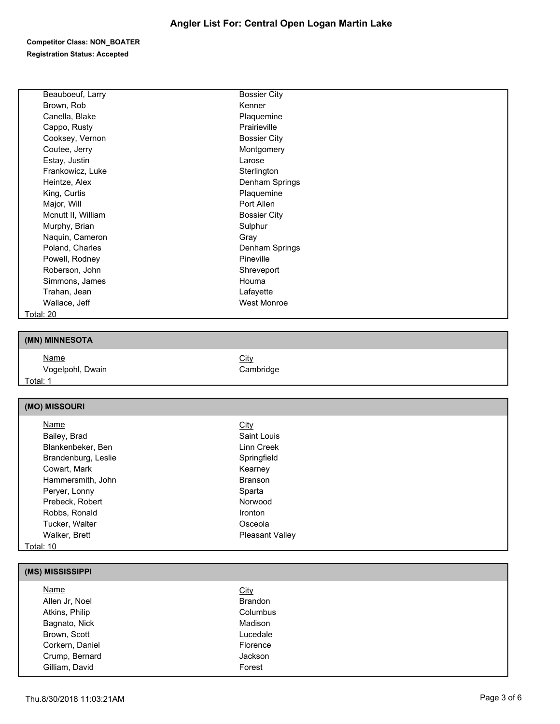# **Angler List For: Central Open Logan Martin Lake**

#### **Competitor Class: NON\_BOATER Registration Status: Accepted**

| Beauboeuf, Larry    | <b>Bossier City</b> |  |
|---------------------|---------------------|--|
| Brown, Rob          | Kenner              |  |
| Canella, Blake      | Plaquemine          |  |
| Cappo, Rusty        | Prairieville        |  |
| Cooksey, Vernon     | <b>Bossier City</b> |  |
| Coutee, Jerry       | Montgomery          |  |
| Estay, Justin       | Larose              |  |
| Frankowicz, Luke    | Sterlington         |  |
| Heintze, Alex       | Denham Springs      |  |
| King, Curtis        | Plaquemine          |  |
| Major, Will         | Port Allen          |  |
| Mcnutt II, William  | <b>Bossier City</b> |  |
| Murphy, Brian       | Sulphur             |  |
| Naquin, Cameron     | Gray                |  |
| Poland, Charles     | Denham Springs      |  |
| Powell, Rodney      | Pineville           |  |
| Roberson, John      | Shreveport          |  |
| Simmons, James      | Houma               |  |
| Trahan, Jean        | Lafayette           |  |
| Wallace, Jeff       | <b>West Monroe</b>  |  |
| Total: 20           |                     |  |
|                     |                     |  |
| (MN) MINNESOTA      |                     |  |
| Name                | City                |  |
| Vogelpohl, Dwain    | Cambridge           |  |
| Total: 1            |                     |  |
|                     |                     |  |
| (MO) MISSOURI       |                     |  |
| Name                | City                |  |
| Bailey, Brad        | Saint Louis         |  |
| Blankenbeker, Ben   | Linn Creek          |  |
| Brandenburg, Leslie | Springfield         |  |
| Cowart, Mark        | Kearney             |  |

| (MS) MISSISSIPPI |                |  |
|------------------|----------------|--|
| <b>Name</b>      | <b>City</b>    |  |
| Allen Jr, Noel   | <b>Brandon</b> |  |
| Atkins, Philip   | Columbus       |  |
| Bagnato, Nick    | Madison        |  |
| Brown, Scott     | Lucedale       |  |
| Corkern, Daniel  | Florence       |  |
| Crump, Bernard   | <b>Jackson</b> |  |
| Gilliam, David   | Forest         |  |
|                  |                |  |

Total: 10

Hammersmith, John Branson Peryer, Lonny **Sparta** Sparta Prebeck, Robert Norwood Robbs, Ronald Ironton Tucker, Walter **Calculates** Controller Controller Controller Controller Controller Controller Controller Controller Walker, Brett **Pleasant Valley**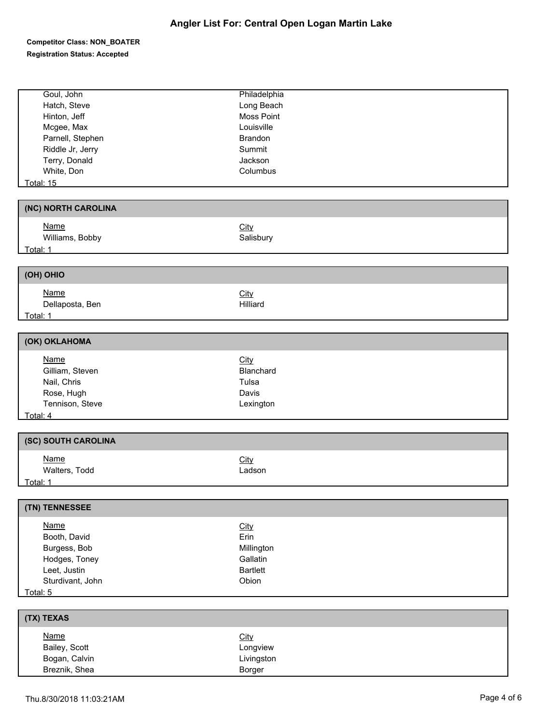| Goul, John          | Philadelphia    |
|---------------------|-----------------|
| Hatch, Steve        | Long Beach      |
| Hinton, Jeff        | Moss Point      |
| Mcgee, Max          | Louisville      |
| Parnell, Stephen    | Brandon         |
| Riddle Jr, Jerry    | Summit          |
| Terry, Donald       | Jackson         |
| White, Don          | Columbus        |
| <b>Total: 15</b>    |                 |
|                     |                 |
| (NC) NORTH CAROLINA |                 |
| <b>Name</b>         | <b>City</b>     |
| Williams, Bobby     | Salisbury       |
| Total: 1            |                 |
|                     |                 |
| (OH) OHIO           |                 |
| <b>Name</b>         | City            |
| Dellaposta, Ben     | Hilliard        |
| Total: 1            |                 |
|                     |                 |
| (OK) OKLAHOMA       |                 |
| <b>Name</b>         | City            |
| Gilliam, Steven     | Blanchard       |
| Nail, Chris         | Tulsa           |
| Rose, Hugh          | Davis           |
| Tennison, Steve     | Lexington       |
| Total: 4            |                 |
| (SC) SOUTH CAROLINA |                 |
|                     |                 |
| <b>Name</b>         | City            |
| Walters, Todd       | Ladson          |
| Total: 1            |                 |
| (TN) TENNESSEE      |                 |
|                     |                 |
| <b>Name</b>         | <b>City</b>     |
| Booth, David        | Erin            |
| Burgess, Bob        | Millington      |
| Hodges, Toney       | Gallatin        |
| Leet, Justin        | <b>Bartlett</b> |
| Sturdivant, John    | Obion           |
| Total: 5            |                 |
| (TX) TEXAS          |                 |
| <b>Name</b>         | City            |
| Bailey, Scott       | Longview        |
| Bogan, Calvin       | Livingston      |
| Breznik, Shea       | Borger          |
|                     |                 |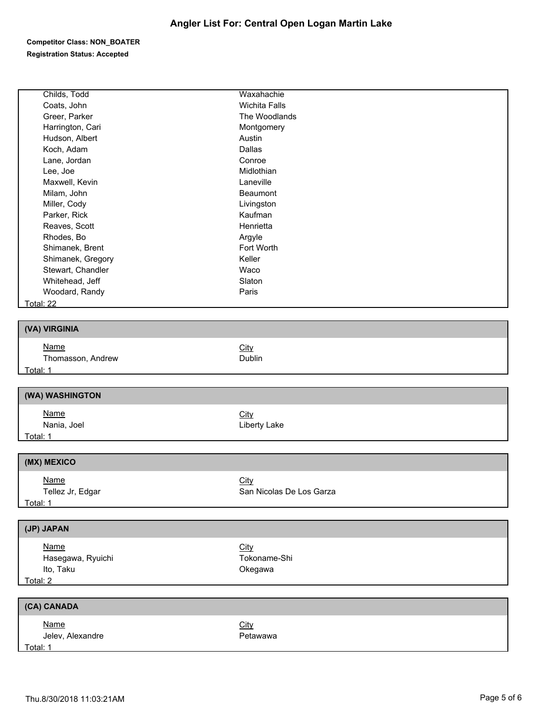| Childs, Todd                   | Waxahachie               |
|--------------------------------|--------------------------|
| Coats, John                    | <b>Wichita Falls</b>     |
| Greer, Parker                  | The Woodlands            |
| Harrington, Cari               | Montgomery               |
| Hudson, Albert                 | Austin                   |
| Koch, Adam                     | Dallas                   |
| Lane, Jordan                   | Conroe                   |
| Lee, Joe                       | Midlothian               |
| Maxwell, Kevin                 | Laneville                |
| Milam, John                    | Beaumont                 |
| Miller, Cody                   | Livingston               |
| Parker, Rick                   | Kaufman                  |
| Reaves, Scott                  | Henrietta                |
| Rhodes, Bo                     | Argyle                   |
| Shimanek, Brent                | Fort Worth               |
| Shimanek, Gregory              | Keller                   |
| Stewart, Chandler              | Waco                     |
| Whitehead, Jeff                | Slaton                   |
| Woodard, Randy                 | Paris                    |
| <b>Total: 22</b>               |                          |
|                                |                          |
| (VA) VIRGINIA                  |                          |
| <b>Name</b>                    | City                     |
| Thomasson, Andrew              | Dublin                   |
|                                |                          |
|                                |                          |
| Total: 1                       |                          |
| (WA) WASHINGTON                |                          |
|                                |                          |
| <b>Name</b>                    | City                     |
| Nania, Joel<br><u>Total: 1</u> | Liberty Lake             |
|                                |                          |
| (MX) MEXICO                    |                          |
| <b>Name</b>                    | <b>City</b>              |
| Tellez Jr, Edgar               | San Nicolas De Los Garza |
| Total: 1                       |                          |
|                                |                          |
| (JP) JAPAN                     |                          |
| <b>Name</b>                    | City                     |
| Hasegawa, Ryuichi              | Tokoname-Shi             |
| Ito, Taku                      | Okegawa                  |
| Total: 2                       |                          |
|                                |                          |
| (CA) CANADA                    |                          |
| <b>Name</b>                    | City                     |
| Jelev, Alexandre<br>Total: 1   | Petawawa                 |